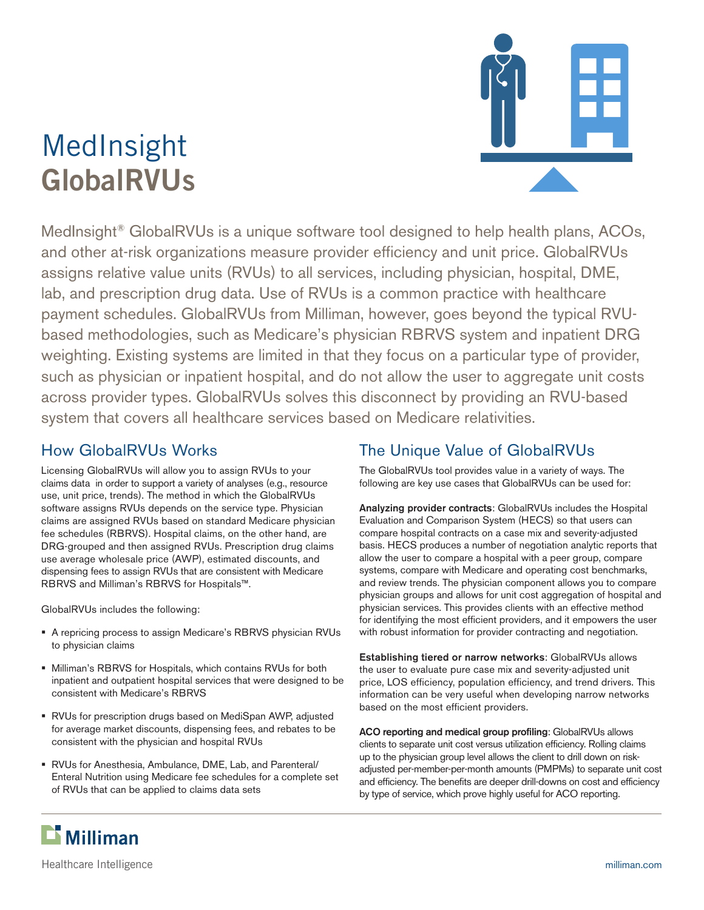# MedInsight **GlobalRVUs**



MedInsight<sup>®</sup> GlobalRVUs is a unique software tool designed to help health plans, ACOs, and other at-risk organizations measure provider efficiency and unit price. GlobalRVUs assigns relative value units (RVUs) to all services, including physician, hospital, DME, lab, and prescription drug data. Use of RVUs is a common practice with healthcare payment schedules. GlobalRVUs from Milliman, however, goes beyond the typical RVUbased methodologies, such as Medicare's physician RBRVS system and inpatient DRG weighting. Existing systems are limited in that they focus on a particular type of provider, such as physician or inpatient hospital, and do not allow the user to aggregate unit costs across provider types. GlobalRVUs solves this disconnect by providing an RVU-based system that covers all healthcare services based on Medicare relativities.

## How GlobalRVUs Works

Licensing GlobalRVUs will allow you to assign RVUs to your claims data in order to support a variety of analyses (e.g., resource use, unit price, trends). The method in which the GlobalRVUs software assigns RVUs depends on the service type. Physician claims are assigned RVUs based on standard Medicare physician fee schedules (RBRVS). Hospital claims, on the other hand, are DRG-grouped and then assigned RVUs. Prescription drug claims use average wholesale price (AWP), estimated discounts, and dispensing fees to assign RVUs that are consistent with Medicare RBRVS and Milliman's RBRVS for Hospitals™.

GlobalRVUs includes the following:

- A repricing process to assign Medicare's RBRVS physician RVUs to physician claims
- Milliman's RBRVS for Hospitals, which contains RVUs for both inpatient and outpatient hospital services that were designed to be consistent with Medicare's RBRVS
- RVUs for prescription drugs based on MediSpan AWP, adjusted for average market discounts, dispensing fees, and rebates to be consistent with the physician and hospital RVUs
- RVUs for Anesthesia, Ambulance, DME, Lab, and Parenteral/ Enteral Nutrition using Medicare fee schedules for a complete set of RVUs that can be applied to claims data sets

# The Unique Value of GlobalRVUs

The GlobalRVUs tool provides value in a variety of ways. The following are key use cases that GlobalRVUs can be used for:

Analyzing provider contracts: GlobalRVUs includes the Hospital Evaluation and Comparison System (HECS) so that users can compare hospital contracts on a case mix and severity-adjusted basis. HECS produces a number of negotiation analytic reports that allow the user to compare a hospital with a peer group, compare systems, compare with Medicare and operating cost benchmarks, and review trends. The physician component allows you to compare physician groups and allows for unit cost aggregation of hospital and physician services. This provides clients with an effective method for identifying the most efficient providers, and it empowers the user with robust information for provider contracting and negotiation.

Establishing tiered or narrow networks: GlobalRVUs allows the user to evaluate pure case mix and severity-adjusted unit price, LOS efficiency, population efficiency, and trend drivers. This information can be very useful when developing narrow networks based on the most efficient providers.

ACO reporting and medical group profiling: GlobalRVUs allows clients to separate unit cost versus utilization efficiency. Rolling claims up to the physician group level allows the client to drill down on riskadjusted per-member-per-month amounts (PMPMs) to separate unit cost and efficiency. The benefits are deeper drill-downs on cost and efficiency by type of service, which prove highly useful for ACO reporting.



Healthcare Intelligence